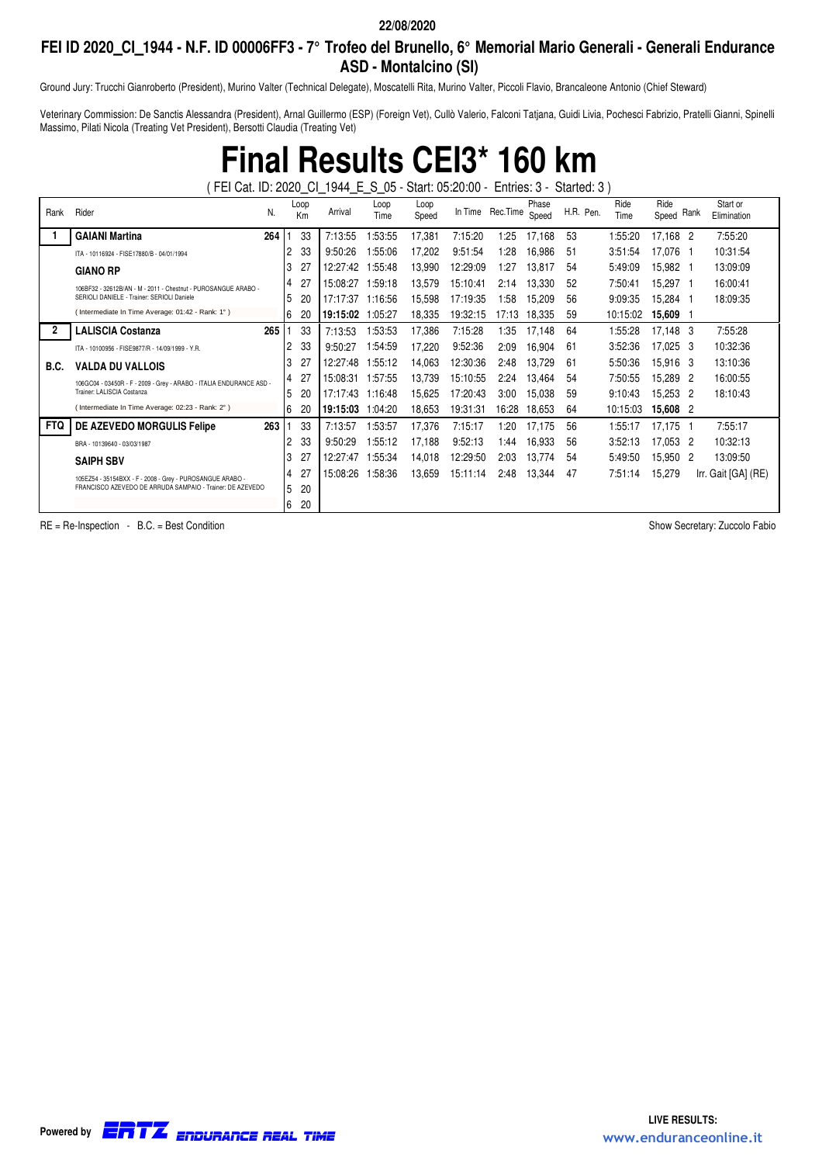### **FEI ID 2020\_CI\_1944 - N.F. ID 00006FF3 - 7° Trofeo del Brunello, 6° Memorial Mario Generali - Generali Endurance ASD - Montalcino (SI)**

Ground Jury: Trucchi Gianroberto (President), Murino Valter (Technical Delegate), Moscatelli Rita, Murino Valter, Piccoli Flavio, Brancaleone Antonio (Chief Steward)

Veterinary Commission: De Sanctis Alessandra (President), Arnal Guillermo (ESP) (Foreign Vet), Cullò Valerio, Falconi Tatjana, Guidi Livia, Pochesci Fabrizio, Pratelli Gianni, Spinelli Massimo, Pilati Nicola (Treating Vet President), Bersotti Claudia (Treating Vet)

> **Final Results CEI3\* 160 km** ( FEI Cat. ID: 2020\_CI\_1944\_E\_S\_05 - Start: 05:20:00 - Entries: 3 - Started: 3 )

| Rank       | Rider                                                               | N.               | Loop<br>Km | Arrival  | Loop<br>Time | Loop<br>Speed | In Time Rec. Time |       | Phase<br>Speed | H.R. Pen. | Ride<br>Time | Ride<br>Speed Rank | Start or<br>Elimination |
|------------|---------------------------------------------------------------------|------------------|------------|----------|--------------|---------------|-------------------|-------|----------------|-----------|--------------|--------------------|-------------------------|
|            | <b>GAIANI Martina</b>                                               | 264              | 33         | 7:13:55  | 1:53:55      | 17,381        | 7:15:20           | 1:25  | 17,168         | 53        | 1:55:20      | 17,168 2           | 7:55:20                 |
|            | ITA - 10116924 - FISE17880/B - 04/01/1994                           |                  | 33<br>2    | 9:50:26  | :55:06       | 17,202        | 9:51:54           | 28: ا | 16,986         | 51        | 3:51:54      | 17,076 1           | 10:31:54                |
|            | <b>GIANO RP</b>                                                     |                  | 3<br>27    | 12:27:42 | 1:55:48      | 13,990        | 12:29:09          | 1:27  | 13.817         | 54        | 5:49:09      | 15.982 1           | 13:09:09                |
|            | 106BF32 - 32612B/AN - M - 2011 - Chestnut - PUROSANGUE ARABO -      |                  | 4<br>27    | 15:08:27 | 1:59:18      | 13,579        | 15:10:41          | 2:14  | 13,330         | 52        | 7:50:41      | 15,297 1           | 16:00:41                |
|            | SERIOLI DANIELE - Trainer: SERIOLI Daniele                          |                  | 5<br>20    | 17:17:37 | 1:16:56      | 15,598        | 17:19:35          | 1:58  | 15,209         | 56        | 9:09:35      | 15.284 1           | 18:09:35                |
|            | (Intermediate In Time Average: 01:42 - Rank: 1°)                    |                  | 6<br>20    | 19:15:02 | 1:05:27      | 18,335        | 19:32:15          | 17:13 | 18,335         | 59        | 10:15:02     | 15,609 1           |                         |
|            | <b>LALISCIA Costanza</b>                                            | 265              | 33         | 7:13:53  | 1:53:53      | 17,386        | 7:15:28           | 1:35  | 17,148         | 64        | 1:55:28      | 17,148 3           | 7:55:28                 |
|            | ITA - 10100956 - FISE9877/R - 14/09/1999 - Y.R.                     |                  | 2<br>33    | 9:50:27  | :54.59       | 17.220        | 9:52:36           | 2:09  | 16,904         | 61        | 3:52:36      | 17,025 3           | 10:32:36                |
| B.C.       | <b>VALDA DU VALLOIS</b>                                             |                  | 3<br>27    | 12:27:48 | 1:55:12      | 14,063        | 12:30:36          | 2:48  | 13,729         | 61        | 5:50:36      | 15,916 3           | 13:10:36                |
|            | 106GC04 - 03450R - F - 2009 - Grey - ARABO - ITALIA ENDURANCE ASD - |                  | 27<br>4    | 15:08:31 | 1:57:55      | 13,739        | 15:10:55          | 2:24  | 13,464         | 54        | 7:50:55      | 15.289 2           | 16:00:55                |
|            | Trainer: LALISCIA Costanza                                          |                  | 5<br>20    | 17:17:43 | 1:16:48      | 15,625        | 17:20:43          | 3:00  | 15,038         | 59        | 9:10:43      | 15,253 2           | 18:10:43                |
|            | (Intermediate In Time Average: 02:23 - Rank: 2°)                    |                  | 6<br>20    | 19:15:03 | 1:04:20      | 18,653        | 19:31:31          | 16:28 | 18,653         | 64        | 10:15:03     | 15,608 2           |                         |
| <b>FTQ</b> | DE AZEVEDO MORGULIS Felipe                                          | 263 <sub>1</sub> | 33         | 7:13:57  | 1:53:57      | 17,376        | 7:15:17           | 1:20  | 17,175         | 56        | 1:55:17      | 17.175 1           | 7:55:17                 |
|            | BRA - 10139640 - 03/03/1987                                         |                  | 33<br>2    | 9:50:29  | 1:55:12      | 17,188        | 9:52:13           | 1:44  | 16,933         | 56        | 3:52:13      | 17,053 2           | 10:32:13                |
|            | <b>SAIPH SBV</b>                                                    |                  | 3<br>27    | 12:27:47 | :55:34       | 14,018        | 12:29:50          | 2:03  | 13,774         | 54        | 5:49:50      | 15,950 2           | 13:09:50                |
|            | 105EZ54 - 35154BXX - F - 2008 - Grey - PUROSANGUE ARABO -           |                  | 27<br>4    | 15:08:26 | :58:36       | 13,659        | 15:11:14          | 2:48  | 13,344         | 47        | 7:51:14      | 15,279             | Irr. Gait [GA] (RE)     |
|            | FRANCISCO AZEVEDO DE ARRUDA SAMPAIO - Trainer: DE AZEVEDO           |                  | 5<br>20    |          |              |               |                   |       |                |           |              |                    |                         |
|            |                                                                     |                  | 6<br>20    |          |              |               |                   |       |                |           |              |                    |                         |

RE = Re-Inspection - B.C. = Best Condition Show Secretary: Zuccolo Fabio

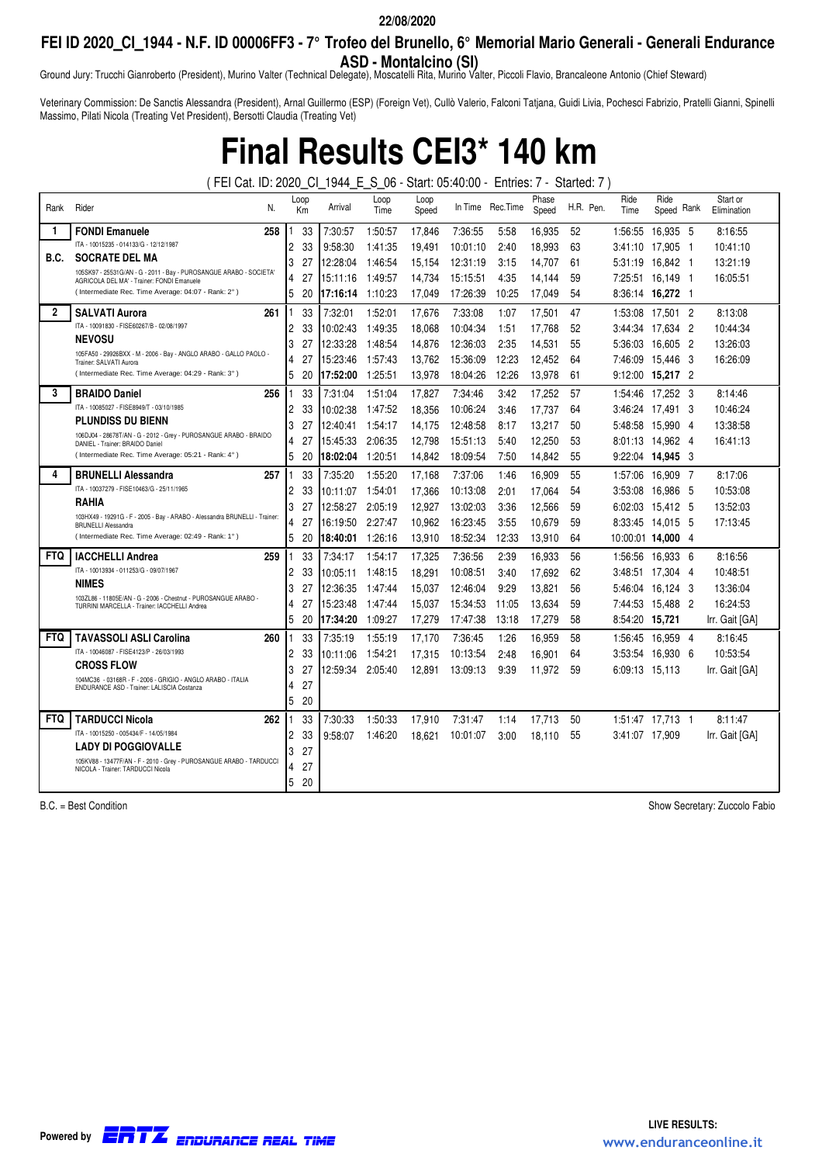## **FEI ID 2020\_CI\_1944 - N.F. ID 00006FF3 - 7° Trofeo del Brunello, 6° Memorial Mario Generali - Generali Endurance**

Ground Jury: Trucchi Gianroberto (President), Murino Valter (Technical Delegate), Moscatelli Rita, Murino Valter, Piccoli Flavio, Brancaleone Antonio (Chief Steward) **ASD - Montalcino (SI)**

Veterinary Commission: De Sanctis Alessandra (President), Arnal Guillermo (ESP) (Foreign Vet), Cullò Valerio, Falconi Tatjana, Guidi Livia, Pochesci Fabrizio, Pratelli Gianni, Spinelli Massimo, Pilati Nicola (Treating Vet President), Bersotti Claudia (Treating Vet)

# **Final Results CEI3\* 140 km**

( FEI Cat. ID: 2020\_CI\_1944\_E\_S\_06 - Start: 05:40:00 - Entries: 7 - Started: 7 )

| Rank           | Rider<br>N.                                                                                                      | Loop<br>Km |    | Arrival  | Loop<br>Time | Loop<br>Speed |          | In Time Rec. Time | Phase<br>Speed |    | H.R. Pen. | Ride<br>Time      | Ride<br>Speed Rank |     | Start or<br>Elimination |
|----------------|------------------------------------------------------------------------------------------------------------------|------------|----|----------|--------------|---------------|----------|-------------------|----------------|----|-----------|-------------------|--------------------|-----|-------------------------|
| -1             | <b>FONDI Emanuele</b><br>258                                                                                     |            | 33 | 7:30:57  | 1:50:57      | 17,846        | 7:36:55  | 5:58              | 16,935         | 52 |           | 1:56:55           | 16,935 5           |     | 8:16:55                 |
|                | ITA - 10015235 - 014133/G - 12/12/1987                                                                           | 2          | 33 | 9:58:30  | 1:41:35      | 19,491        | 10:01:10 | 2:40              | 18,993         | 63 |           | 3:41:10           | 17,905             | - 1 | 10:41:10                |
| B.C.           | <b>SOCRATE DEL MA</b>                                                                                            | 3          | 27 | 12:28:04 | 1:46:54      | 15,154        | 12:31:19 | 3:15              | 14,707         | 61 |           | 5:31:19           | 16,842 1           |     | 13:21:19                |
|                | 105SK97 - 25531G/AN - G - 2011 - Bay - PUROSANGUE ARABO - SOCIETA'<br>AGRICOLA DEL MA' - Trainer: FONDI Emanuele | 4          | 27 | 15:11:16 | 1:49:57      | 14,734        | 15:15:51 | 4:35              | 14,144         | 59 |           | 7:25:51 16,149    |                    | - 1 | 16:05:51                |
|                | (Intermediate Rec. Time Average: 04:07 - Rank: 2°)                                                               | 5          | 20 | 17:16:14 | 1:10:23      | 17,049        | 17:26:39 | 10:25             | 17,049         | 54 |           | 8:36:14 16,272 1  |                    |     |                         |
| $\overline{2}$ | <b>SALVATI Aurora</b><br>261                                                                                     |            | 33 | 7:32:01  | 1:52:01      | 17.676        | 7:33:08  | 1:07              | 17.501         | 47 |           | 1:53:08           | 17.501 2           |     | 8:13:08                 |
|                | ITA - 10091830 - FISE60267/B - 02/08/1997                                                                        | 2          | 33 | 10:02:43 | 1:49:35      | 18,068        | 10:04:34 | 1:51              | 17,768         | 52 |           | 3:44:34 17.634 2  |                    |     | 10:44:34                |
|                | <b>NEVOSU</b>                                                                                                    | 3          | 27 | 12:33:28 | 1:48:54      | 14.876        | 12:36:03 | 2:35              | 14.531         | 55 |           | 5:36:03           | 16.605             | - 2 | 13:26:03                |
|                | 105FA50 - 29926BXX - M - 2006 - Bay - ANGLO ARABO - GALLO PAOLO -<br>Trainer: SALVATI Aurora                     | 4          | 27 | 15:23:46 | 1:57:43      | 13.762        | 15:36:09 | 12:23             | 12,452         | 64 |           | 7:46:09           | 15.446             | - 3 | 16:26:09                |
|                | (Intermediate Rec. Time Average: 04:29 - Rank: 3°)                                                               | 5          | 20 | 17:52:00 | 1:25:51      | 13,978        | 18:04:26 | 12:26             | 13,978         | 61 |           | 9:12:00 15,217 2  |                    |     |                         |
| 3              | 256<br><b>BRAIDO Daniel</b>                                                                                      |            | 33 | 7:31:04  | 1:51:04      | 17.827        | 7:34:46  | 3:42              | 17.252         | 57 |           | 1:54:46           | 17.252 3           |     | 8:14:46                 |
|                | ITA - 10085027 - FISE8949/T - 03/10/1985                                                                         | 2          | 33 | 10:02:38 | 1:47:52      | 18.356        | 10:06:24 | 3:46              | 17.737         | 64 |           | 3:46:24 17.491 3  |                    |     | 10:46:24                |
|                | <b>PLUNDISS DU BIENN</b>                                                                                         | 3          | 27 | 12:40:41 | 1:54:17      | 14.175        | 12:48:58 | 8:17              | 13.217         | 50 |           | 5:48:58 15.990 4  |                    |     | 13:38:58                |
|                | 106DJ04 - 28678T/AN - G - 2012 - Grey - PUROSANGUE ARABO - BRAIDO<br>DANIEL - Trainer: BRAIDO Daniel             | 4          | 27 | 15:45:33 | 2:06:35      | 12.798        | 15:51:13 | 5:40              | 12.250         | 53 |           | 8:01:13 14.962 4  |                    |     | 16:41:13                |
|                | (Intermediate Rec. Time Average: 05:21 - Rank: 4°)                                                               | 5          | 20 | 18:02:04 | 1:20:51      | 14.842        | 18:09:54 | 7:50              | 14.842         | 55 |           | 9:22:04 14.945 3  |                    |     |                         |
| 4              | <b>BRUNELLI Alessandra</b><br>257                                                                                |            | 33 | 7:35:20  | 1:55:20      | 17.168        | 7:37:06  | 1:46              | 16.909         | 55 |           | 1:57:06           | 16.909 7           |     | 8:17:06                 |
|                | ITA - 10037279 - FISE10463/G - 25/11/1965                                                                        | 2          | 33 | 10:11:07 | 1:54:01      | 17.366        | 10:13:08 | 2:01              | 17.064         | 54 |           | 3:53:08           | 16.986             | - 5 | 10:53:08                |
|                | <b>RAHIA</b>                                                                                                     | 3          | 27 | 12:58:27 | 2:05:19      | 12.927        | 13:02:03 | 3:36              | 12.566         | 59 |           | 6:02:03           | 15.412 5           |     | 13:52:03                |
|                | 103HX49 - 19291G - F - 2005 - Bay - ARABO - Alessandra BRUNELLI - Trainer:<br><b>BRUNELLI Alessandra</b>         | 4          | 27 | 16:19:50 | 2:27:47      | 10.962        | 16:23:45 | 3:55              | 10.679         | 59 |           | 8:33:45 14.015 5  |                    |     | 17:13:45                |
|                | (Intermediate Rec. Time Average: 02:49 - Rank: 1°)                                                               | 5          | 20 | 18:40:01 | 1:26:16      | 13.910        | 18:52:34 | 12:33             | 13.910         | 64 |           | 10:00:01 14:000 4 |                    |     |                         |
| <b>FTQ</b>     | 259<br><b>IACCHELLI Andrea</b>                                                                                   |            | 33 | 7:34:17  | 1:54:17      | 17.325        | 7:36:56  | 2:39              | 16.933         | 56 |           | 1:56:56           | 16.933 6           |     | 8:16:56                 |
|                | ITA - 10013934 - 011253/G - 09/07/1967                                                                           | 2          | 33 | 10:05:11 | 1:48:15      | 18.291        | 10:08:51 | 3:40              | 17.692         | 62 |           | 3:48:51           | 17.304 4           |     | 10:48:51                |
|                | <b>NIMES</b>                                                                                                     | 3          | 27 | 12:36:35 | 1:47:44      | 15.037        | 12:46:04 | 9:29              | 13.821         | 56 |           | 5:46:04           | 16.124 3           |     | 13:36:04                |
|                | 103ZL86 - 11805E/AN - G - 2006 - Chestnut - PUROSANGUE ARABO -<br>TURRINI MARCELLA - Trainer: IACCHELLI Andrea   | 4          |    | 15:23:48 | 1:47:44      | 15.037        | 15:34:53 | 11:05             | 13.634         | 59 |           | 7:44:53 15.488 2  |                    |     | 16:24:53                |
|                |                                                                                                                  | 5          | 20 | 17:34:20 | 1:09:27      | 17.279        | 17:47:38 | 13:18             | 17.279         | 58 |           | 8:54:20 15.721    |                    |     | Irr. Gait [GA]          |
| <b>FTQ</b>     | <b>TAVASSOLI ASLI Carolina</b><br>260                                                                            |            | 33 | 7:35:19  | 1:55:19      | 17.170        | 7:36:45  | 1:26              | 16.959         | 58 |           | 1:56:45           | 16.959 4           |     | 8:16:45                 |
|                | ITA - 10046087 - FISE4123/P - 26/03/1993                                                                         | 2          | 33 | 10:11:06 | 1:54:21      | 17,315        | 10:13:54 | 2:48              | 16.901         | 64 |           | 3:53:54           | 16.930 6           |     | 10:53:54                |
|                | <b>CROSS FLOW</b>                                                                                                | 3          | 27 | 12:59:34 | 2:05:40      | 12.891        | 13:09:13 | 9:39              | 11,972         | 59 |           | 6:09:13           | 15,113             |     | Irr. Gait [GA]          |
|                | 104MC36 - 03168R - F - 2006 - GRIGIO - ANGLO ARABO - ITALIA<br>ENDURANCE ASD - Trainer: LALISCIA Costanza        | 4          | 27 |          |              |               |          |                   |                |    |           |                   |                    |     |                         |
|                |                                                                                                                  | 5          | 20 |          |              |               |          |                   |                |    |           |                   |                    |     |                         |
| <b>FTQ</b>     | <b>TARDUCCI Nicola</b><br>262                                                                                    |            | 33 | 7:30:33  | 1:50:33      | 17,910        | 7:31:47  | 1:14              | 17,713         | 50 |           | 1:51:47 17.713 1  |                    |     | 8:11:47                 |
|                | ITA - 10015250 - 005434/F - 14/05/1984                                                                           | 2          | 33 | 9:58:07  | 1:46:20      | 18.621        | 10:01:07 | 3:00              | 18.110         | 55 |           | 3:41:07 17.909    |                    |     | Irr. Gait [GA]          |
|                | <b>LADY DI POGGIOVALLE</b>                                                                                       | 3          | 27 |          |              |               |          |                   |                |    |           |                   |                    |     |                         |
|                | 105KV88 - 13477F/AN - F - 2010 - Grey - PUROSANGUE ARABO - TARDUCCI<br>NICOLA - Trainer: TARDUCCI Nicola         | 4          | 27 |          |              |               |          |                   |                |    |           |                   |                    |     |                         |
|                |                                                                                                                  | 5          | 20 |          |              |               |          |                   |                |    |           |                   |                    |     |                         |

B.C. = Best Condition Show Secretary: Zuccolo Fabio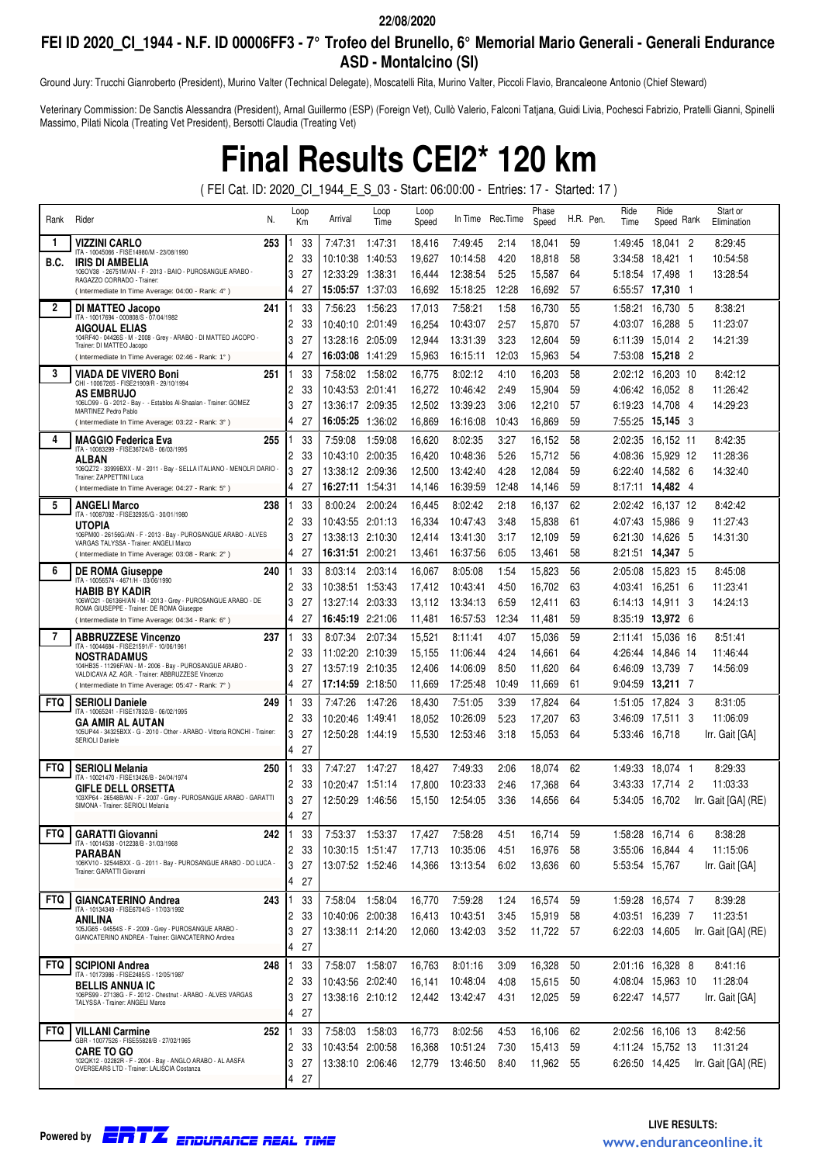## **FEI ID 2020\_CI\_1944 - N.F. ID 00006FF3 - 7° Trofeo del Brunello, 6° Memorial Mario Generali - Generali Endurance ASD - Montalcino (SI)**

Ground Jury: Trucchi Gianroberto (President), Murino Valter (Technical Delegate), Moscatelli Rita, Murino Valter, Piccoli Flavio, Brancaleone Antonio (Chief Steward)

Veterinary Commission: De Sanctis Alessandra (President), Arnal Guillermo (ESP) (Foreign Vet), Cullò Valerio, Falconi Tatjana, Guidi Livia, Pochesci Fabrizio, Pratelli Gianni, Spinelli Massimo, Pilati Nicola (Treating Vet President), Bersotti Claudia (Treating Vet)

**Final Results CEI2\* 120 km**

( FEI Cat. ID: 2020\_CI\_1944\_E\_S\_03 - Start: 06:00:00 - Entries: 17 - Started: 17 )

| Rank         | Rider<br>N.                                                                                             | Loop<br>Кm           | Arrival                             | Loop<br>Time    | Loop<br>Speed    | In Time              | Rec.Time      | Phase<br>Speed   | H.R. Pen. | Ride<br>Time       | Ride<br>Rank<br>Speed                 | Start or<br>Elimination |
|--------------|---------------------------------------------------------------------------------------------------------|----------------------|-------------------------------------|-----------------|------------------|----------------------|---------------|------------------|-----------|--------------------|---------------------------------------|-------------------------|
| 1            | 253<br>VIZZINI CARLO                                                                                    | 33                   | 7:47:31                             | 1:47:31         | 18,416           | 7:49:45              | 2:14          | 18,041           | 59        | 1:49:45            | 18,041 2                              | 8:29:45                 |
| B.C.         | ITA - 10045066 - FISE14980/M - 23/08/1990<br>IRIS DI AMBELIA                                            | 33<br>2              | 10:10:38                            | 1:40:53         | 19,627           | 10:14:58             | 4:20          | 18,818           | 58        | 3:34:58            | 18,421 1                              | 10:54:58                |
|              | 106OV38 - 26751M/AN - F - 2013 - BAIO - PUROSANGUE ARABO -<br>RAGAZZO CORRADO - Trainer:                | 3<br>27              | 12:33:29                            | 1:38:31         | 16,444           | 12:38:54             | 5:25          | 15,587           | 64        | 5:18:54            | 17,498<br>- 1                         | 13:28:54                |
|              | (Intermediate In Time Average: 04:00 - Rank: 4°)                                                        | 4<br>27              | 15:05:57 1:37:03                    |                 | 16,692           | 15:18:25             | 12:28         | 16,692           | 57        | 6:55:57            | 17,310 1                              |                         |
| $\mathbf{2}$ | 241<br><b>DI MATTEO Jacopo</b><br>ITA - 10017694 - 000808/S - 07/04/1982                                | 33                   | 7:56:23                             | 1:56:23         | 17,013           | 7:58:21              | 1:58          | 16,730           | 55        | 1:58:21            | 16,730 5                              | 8:38:21                 |
|              | AIGOUAL ELIAS                                                                                           | 33<br>2              | 10:40:10                            | 2:01:49         | 16,254           | 10:43:07             | 2:57          | 15,870           | 57        | 4:03:07            | 16,288<br>-5                          | 11:23:07                |
|              | 104RF40 - 04426S - M - 2008 - Grey - ARABO - DI MATTEO JACOPO -<br>Trainer: DI MATTEO Jacopo            | 3<br>27              | 13:28:16                            | 2:05:09         | 12,944           | 13:31:39             | 3:23          | 12,604           | 59        | 6:11:39            | -2<br>15,014                          | 14:21:39                |
|              | (Intermediate In Time Average: 02:46 - Rank: 1°)                                                        | 4<br>27              |                                     |                 | 15.963           | 16:15:11             | 12:03         | 15,963           | 54        | 7:53:08            | 15,218 2                              |                         |
| 3            | <b>VIADA DE VIVERO Boni</b><br>251<br>CHI - 10067265 - FISE21909/R - 29/10/1994                         | 33                   | 7:58:02                             | 1:58:02         | 16,775           | 8:02:12              | 4:10          | 16,203           | 58        | 2:02:12            | 16,203 10                             | 8:42:12                 |
|              | <b>AS EMBRUJO</b><br>106LO99 - G - 2012 - Bay - - Establos Al-Shaalan - Trainer: GOMEZ                  | 2<br>33              | 10:43:53                            | 2:01:41         | 16,272           | 10:46:42             | 2:49          | 15,904           | 59        | 4:06:42            | 16,052 8                              | 11:26:42                |
|              | MARTINEZ Pedro Pablo                                                                                    | 3<br>27              | 13:36:17                            | 2:09:35         | 12,502           | 13:39:23             | 3:06          | 12,210           | 57        | 6:19:23            | 14,708<br>- 4                         | 14:29:23                |
|              | (Intermediate In Time Average: 03:22 - Rank: 3°)                                                        | 4<br>27              |                                     |                 | 16,869           | 16:16:08             | 10:43         | 16,869           | 59        |                    |                                       |                         |
| 4            | 255<br><b>MAGGIO Federica Eva</b><br>ITA - 10083299 - FISE36724/B - 06/03/1995                          | 33                   | 7:59:08                             | 1:59:08         | 16,620           | 8:02:35              | 3:27          | 16,152           | 58        | 2:02:35            | 16,152 11                             | 8:42:35                 |
|              | ALBAN<br>106QZ72 - 33999BXX - M - 2011 - Bay - SELLA ITALIANO - MENOLFI DARIO -                         | 2<br>33              | 10:43:10                            | 2:00:35         | 16,420           | 10:48:36             | 5:26          | 15,712           | 56        |                    | 4:08:36 15,929 12                     | 11:28:36                |
|              | Trainer: ZAPPETTINI Luca                                                                                | 3<br>27<br>27<br>4   | 13:38:12 2:09:36                    |                 | 12,500<br>14,146 | 13:42:40<br>16:39:59 | 4:28<br>12:48 | 12,084<br>14,146 | 59<br>59  | 6:22:40            | 14,582 6<br>8:17:11 14.482 4          | 14:32:40                |
| 5            | (Intermediate In Time Average: 04:27 - Rank: 5°)                                                        |                      |                                     |                 |                  |                      |               |                  |           |                    |                                       |                         |
|              | <b>ANGELI Marco</b><br>238<br>ITA - 10087092 - FISE32935/G - 30/01/1980                                 | 33<br>33<br>2        | 8:00:24<br>10:43:55 2:01:13         | 2:00:24         | 16,445           | 8:02:42              | 2:18<br>3:48  | 16,137<br>15,838 | 62<br>61  | 2:02:42<br>4:07:43 | 16,137 12<br>15,986<br>- 9            | 8:42:42<br>11:27:43     |
|              | <b>UTOPIA</b><br>106PM00 - 26156G/AN - F - 2013 - Bay - PUROSANGUE ARABO - ALVES                        | 3<br>27              | 13:38:13 2:10:30                    |                 | 16,334<br>12,414 | 10:47:43<br>13:41:30 | 3:17          | 12,109           | 59        | 6:21:30            | - 5<br>14,626                         | 14:31:30                |
|              | VARGAS TALYSSA - Trainer: ANGELI Marco<br>(Intermediate In Time Average: 03:08 - Rank: 2°)              | 4<br>27              | 16:31:51                            | 2:00:21         | 13,461           | 16:37:56             | 6:05          | 13,461           | 58        | 8:21:51            | 14,347 5                              |                         |
| 6            | <b>DE ROMA Giuseppe</b><br>240                                                                          | 33                   | 8:03:14                             | 2:03:14         | 16,067           | 8:05:08              | 1:54          | 15,823           | 56        | 2:05:08            | 15,823 15                             | 8:45:08                 |
|              | ITA - 10056574 - 4671/H - 03/06/1990                                                                    | 33<br>2              | 10:38:51                            | 1:53:43         | 17,412           | 10:43:41             | 4:50          | 16.702           | 63        | 4:03:41            | 16,251 6                              | 11:23:41                |
|              | <b>HABIB BY KADIR</b><br>106WO21 - 06136H/AN - M - 2013 - Grey - PUROSANGUE ARABO - DE                  | 3<br>27              | 13:27:14 2:03:33                    |                 | 13,112           | 13:34:13             | 6:59          | 12,411           | 63        |                    | 6:14:13 14.911<br>-3                  | 14:24:13                |
|              | ROMA GIUSEPPE - Trainer: DE ROMA Giuseppe<br>(Intermediate In Time Average: 04:34 - Rank: 6°)           | 27<br>4              | 16:45:19                            | 2:21:06         | 11,481           | 16:57:53             | 12:34         | 11,481           | 59        |                    | 8:35:19 13,972 6                      |                         |
| 7            | <b>ABBRUZZESE Vincenzo</b><br>237                                                                       | 33                   | 8:07:34                             | 2:07:34         | 15,521           | 8:11:41              | 4:07          | 15.036           | 59        | 2:11:41            | 15,036 16                             | 8:51:41                 |
|              | ITA - 10044684 - FISE21591/F - 10/06/1961                                                               | 2<br>33              | 11:02:20 2:10:39                    |                 | 15,155           | 11:06:44             | 4:24          | 14,661           | 64        | 4:26:44            | 14,846 14                             | 11:46:44                |
|              | <b>NOSTRADAMUS</b><br>104HB35 - 11296F/AN - M - 2006 - Bay - PUROSANGUE ARABO -                         | 3<br>27              | 13:57:19 2:10:35                    |                 | 12,406           | 14:06:09             | 8:50          | 11,620           | 64        | 6:46:09            | 13,739 7                              | 14:56:09                |
|              | VALDICAVA AZ. AGR. - Trainer: ABBRUZZESE Vincenzo<br>(Intermediate In Time Average: 05:47 - Rank: 7°)   | 4<br>27              |                                     |                 | 11,669           | 17:25:48             | 10:49         | 11,669           | 61        |                    | 9:04:59 13,211 7                      |                         |
| <b>FTQ</b>   | <b>SERIOLI Daniele</b><br>249                                                                           | 33                   | 7:47:26                             | 1:47:26         | 18,430           | 7:51:05              | 3:39          | 17,824           | 64        | 1:51:05            | 17,824 3                              | 8:31:05                 |
|              | ITA - 10065241 - FISE17832/B - 06/02/1995<br><b>GA AMIR AL AUTAN</b>                                    | 2<br>33              | 10:20:46 1:49:41                    |                 | 18,052           | 10:26:09             | 5:23          | 17,207           | 63        | 3:46:09            | 17,511 3                              | 11:06:09                |
|              | 105UP44 - 34325BXX - G - 2010 - Other - ARABO - Vittoria RONCHI - Trainer:<br><b>SERIOLI Daniele</b>    | 3<br>27              |                                     |                 | 15,530           | 12:53:46             | 3:18          | 15,053           | 64        | 5:33:46 16.718     |                                       | Irr. Gait [GA]          |
|              |                                                                                                         | 27<br>4              |                                     |                 |                  |                      |               |                  |           |                    |                                       |                         |
| <b>FTQ</b>   | <b>SERIOLI Melania</b><br>250<br>ITA - 10021470 - FISE13426/B - 24/04/1974                              | 33                   | 7:47:27                             | 1:47:27         | 18,427           | 7:49:33              | 2:06          | 18,074           | 62        |                    | 1:49:33 18,074 1                      | 8:29:33                 |
|              | <b>GIFLE DELL ORSETTA</b>                                                                               | 2<br>33              | 10:20:47 1:51:14                    |                 | 17,800           | 10:23:33             | 2:46          | 17,368           | 64        | 3:43:33            | -2<br>17.714                          | 11:03:33                |
|              | 103XP64 - 26548B/AN - F - 2007 - Grey - PUROSANGUE ARABO - GARATTI<br>SIMONA - Trainer: SERIOLI Melania | 3<br>27              | 12:50:29 1:46:56                    |                 | 15,150           | 12:54:05             | 3:36          | 14,656           | 64        | 5:34:05            | 16,702                                | Irr. Gait [GA] (RE)     |
|              |                                                                                                         | $\overline{4}$<br>27 |                                     |                 |                  |                      |               |                  |           |                    |                                       |                         |
| <b>FTQ</b>   | 242<br><b>GARATTI Giovanni</b><br>ITA - 10014538 - 012238/B - 31/03/1968                                | 33                   | 7:53:37 1:53:37                     |                 | 17,427           | 7:58:28              | 4.51          | 16,714           | 59        |                    | 1:58:28 16,714 6                      | 8:38:28                 |
|              | PARABAN                                                                                                 | 2<br>33              | 10:30:15 1:51:47                    |                 | 17,713           | 10:35:06             | 4:51          | 16,976           | 58        |                    | 3:55:06 16,844 4                      | 11:15:06                |
|              | 106KV10 - 32544BXX - G - 2011 - Bay - PUROSANGUE ARABO - DO LUCA -<br>Trainer: GARATTI Giovanni         | 3<br>27              | 13:07:52 1:52:46                    |                 | 14,366           | 13:13:54             | 6:02          | 13,636           | 60        | 5:53:54 15,767     |                                       | Irr. Gait [GA]          |
|              |                                                                                                         | 4<br>27              |                                     |                 |                  |                      |               |                  |           |                    |                                       |                         |
| <b>FTQ</b>   | <b>GIANCATERINO Andrea</b><br>243<br>ITA - 10134349 - FISE6704/S - 17/03/1992                           | 33                   |                                     | 7:58:04 1:58:04 | 16,770           | 7:59:28              | 1:24          | 16,574           | 59        |                    | 1:59:28 16.574 7                      | 8:39:28                 |
|              | ANILINA<br>105JG65 - 04554S - F - 2009 - Grey - PUROSANGUE ARABO -                                      | 33<br>2<br>3<br>27   | 10:40:06 2:00:38                    |                 | 16,413           | 10:43:51             | 3:45          | 15,919           | 58        |                    | 4:03:51 16,239 7                      | 11:23:51                |
|              | GIANCATERINO ANDREA - Trainer: GIANCATERINO Andrea                                                      | 27<br>4              | 13:38:11 2:14:20                    |                 | 12,060           | 13:42:03             | 3:52          | 11,722 57        |           | 6:22:03 14,605     |                                       | Irr. Gait [GA] (RE)     |
| <b>FTQ</b>   |                                                                                                         |                      |                                     |                 |                  |                      |               |                  |           |                    |                                       |                         |
|              | <b>SCIPIONI Andrea</b><br>248<br>ITA - 10173986 - FISE2485/S - 12/05/1987                               | 33<br>33<br>2        | 7:58:07 1:58:07<br>10:43:56 2:02:40 |                 | 16,763<br>16,141 | 8:01:16<br>10:48:04  | 3:09<br>4:08  | 16,328<br>15,615 | 50<br>50  |                    | 2:01:16 16,328 8<br>4:08:04 15,963 10 | 8:41:16<br>11:28:04     |
|              | <b>BELLIS ANNUA IC</b><br>106PS99 - 27138G - F - 2012 - Chestnut - ARABO - ALVES VARGAS                 | 3<br>27              | 13:38:16 2:10:12                    |                 | 12,442           | 13:42:47             | 4:31          | 12,025           | 59        | 6:22:47 14.577     |                                       | Irr. Gait [GA]          |
|              | TALYSSA - Trainer: ANGELI Marco                                                                         | 4<br>27              |                                     |                 |                  |                      |               |                  |           |                    |                                       |                         |
| <b>FTQ</b>   | <b>VILLANI Carmine</b><br>252                                                                           | 33                   | 7:58:03 1:58:03                     |                 | 16,773           | 8:02:56              | 4:53          | 16,106           | 62        |                    | 2:02:56 16,106 13                     | 8:42:56                 |
|              | GBR - 10077526 - FISE55828/B - 27/02/1965                                                               | 2<br>33              | 10:43:54 2:00:58                    |                 | 16,368           | 10:51:24             | 7:30          | 15,413           | 59        |                    | 4:11:24 15,752 13                     | 11:31:24                |
|              | <b>CARE TO GO</b><br>102QK12 - 02282R - F - 2004 - Bay - ANGLO ARABO - AL AASFA                         | 3<br>27              | 13:38:10 2:06:46                    |                 | 12,779           | 13:46:50             | 8:40          | 11,962           | 55        |                    | 6:26:50 14,425                        | Irr. Gait [GA] (RE)     |
|              | OVERSEARS LTD - Trainer: LALISCIA Costanza                                                              | 27<br>4              |                                     |                 |                  |                      |               |                  |           |                    |                                       |                         |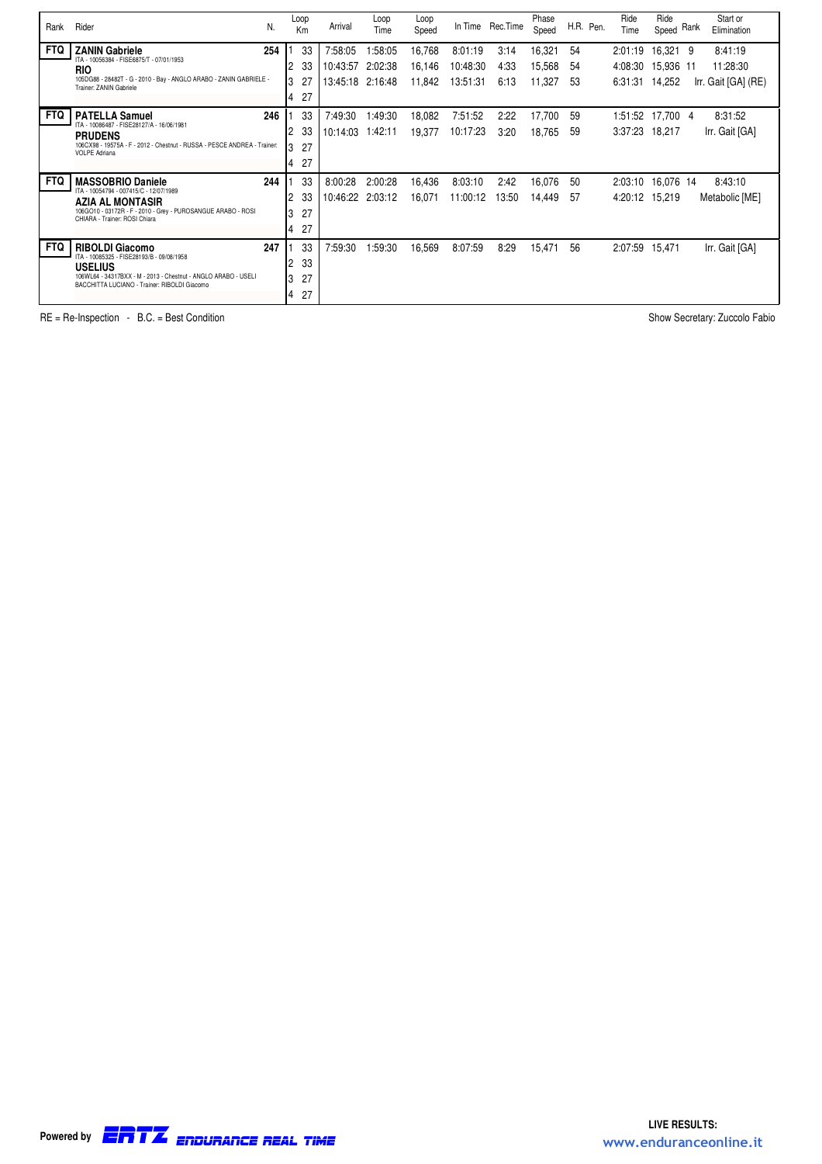| Rank       | Rider<br>N.                                                                                                    | Loop<br>Km           | Arrival          | Loop<br>Time | Loop<br>Speed |          | In Time Rec. Time | Phase<br>Speed |    | H.R. Pen. | Ride<br>Time      | Ride<br>Speed | Rank | Start or<br>Elimination |
|------------|----------------------------------------------------------------------------------------------------------------|----------------------|------------------|--------------|---------------|----------|-------------------|----------------|----|-----------|-------------------|---------------|------|-------------------------|
| <b>FTQ</b> | 254<br><b>ZANIN Gabriele</b>                                                                                   | 33                   | 7:58:05          | 1:58:05      | 16,768        | 8:01:19  | 3:14              | 16,321         | 54 |           | 2:01:19           | 16,321 9      |      | 8:41:19                 |
|            | ITA - 10056384 - FISE6875/T - 07/01/1953<br><b>RIO</b>                                                         | 33<br>2              | 10:43:57         | 2:02:38      | 16,146        | 10:48:30 | 4:33              | 15,568         | 54 |           | 4:08:30           | 15,936 11     |      | 11:28:30                |
|            | 105DG88 - 28482T - G - 2010 - Bay - ANGLO ARABO - ZANIN GABRIELE -<br>Trainer: ZANIN Gabriele                  | 27<br>3              | 13:45:18 2:16:48 |              | 11,842        | 13:51:31 | 6:13              | 11,327         | 53 |           | 6:31:31           | 14,252        |      | Irr. Gait [GA] (RE)     |
|            |                                                                                                                | 27<br>4              |                  |              |               |          |                   |                |    |           |                   |               |      |                         |
| <b>FTQ</b> | 246<br><b>PATELLA Samuel</b>                                                                                   | 33                   | 7:49:30          | 1:49:30      | 18,082        | 7:51:52  | 2:22              | 17,700         | 59 |           | 1:51:52 17,700 4  |               |      | 8:31:52                 |
|            | ITA - 10086487 - FISE28127/A - 16/06/1981<br><b>PRUDENS</b>                                                    | 33<br>2              | 10:14:03         | 1:42:11      | 19,377        | 10:17:23 | 3:20              | 18,765         | 59 |           | 3:37:23 18,217    |               |      | Irr. Gait [GA]          |
|            | 106CX98 - 19575A - F - 2012 - Chestnut - RUSSA - PESCE ANDREA - Trainer:<br><b>VOLPE Adriana</b>               | 27<br>3              |                  |              |               |          |                   |                |    |           |                   |               |      |                         |
|            |                                                                                                                | 27<br>$\overline{4}$ |                  |              |               |          |                   |                |    |           |                   |               |      |                         |
| <b>FTQ</b> | 244<br><b>MASSOBRIO Daniele</b>                                                                                | 33                   | 8:00:28          | 2:00:28      | 16,436        | 8:03:10  | 2:42              | 16,076         | 50 |           | 2:03:10 16,076 14 |               |      | 8:43:10                 |
|            | ITA - 10054794 - 007415/C - 12/07/1989<br><b>AZIA AL MONTASIR</b>                                              | 33<br>2              | 10:46:22 2:03:12 |              | 16,071        | 11:00:12 | 13:50             | 14,449         | 57 |           | 4:20:12 15,219    |               |      | Metabolic [ME]          |
|            | 106GO10 - 03172R - F - 2010 - Grey - PUROSANGUE ARABO - ROSI<br>CHIARA - Trainer: ROSI Chiara                  | 27<br>3              |                  |              |               |          |                   |                |    |           |                   |               |      |                         |
|            |                                                                                                                | 27<br>$\overline{4}$ |                  |              |               |          |                   |                |    |           |                   |               |      |                         |
| <b>FTQ</b> | 247<br><b>RIBOLDI Giacomo</b>                                                                                  | 33                   | 7:59:30          | 1:59:30      | 16,569        | 8:07:59  | 8:29              | 15,471         | 56 |           | 2:07:59           | 15,471        |      | Irr. Gait [GA]          |
|            | ITA - 10085325 - FISE28193/B - 09/08/1958<br><b>USELIUS</b>                                                    | 33<br>2              |                  |              |               |          |                   |                |    |           |                   |               |      |                         |
|            | 106WL64 - 34317BXX - M - 2013 - Chestnut - ANGLO ARABO - USELI<br>BACCHITTA LUCIANO - Trainer: RIBOLDI Giacomo | 27<br>3              |                  |              |               |          |                   |                |    |           |                   |               |      |                         |
|            |                                                                                                                | 27<br>4              |                  |              |               |          |                   |                |    |           |                   |               |      |                         |

RE = Re-Inspection - B.C. = Best Condition Show Secretary: Zuccolo Fabio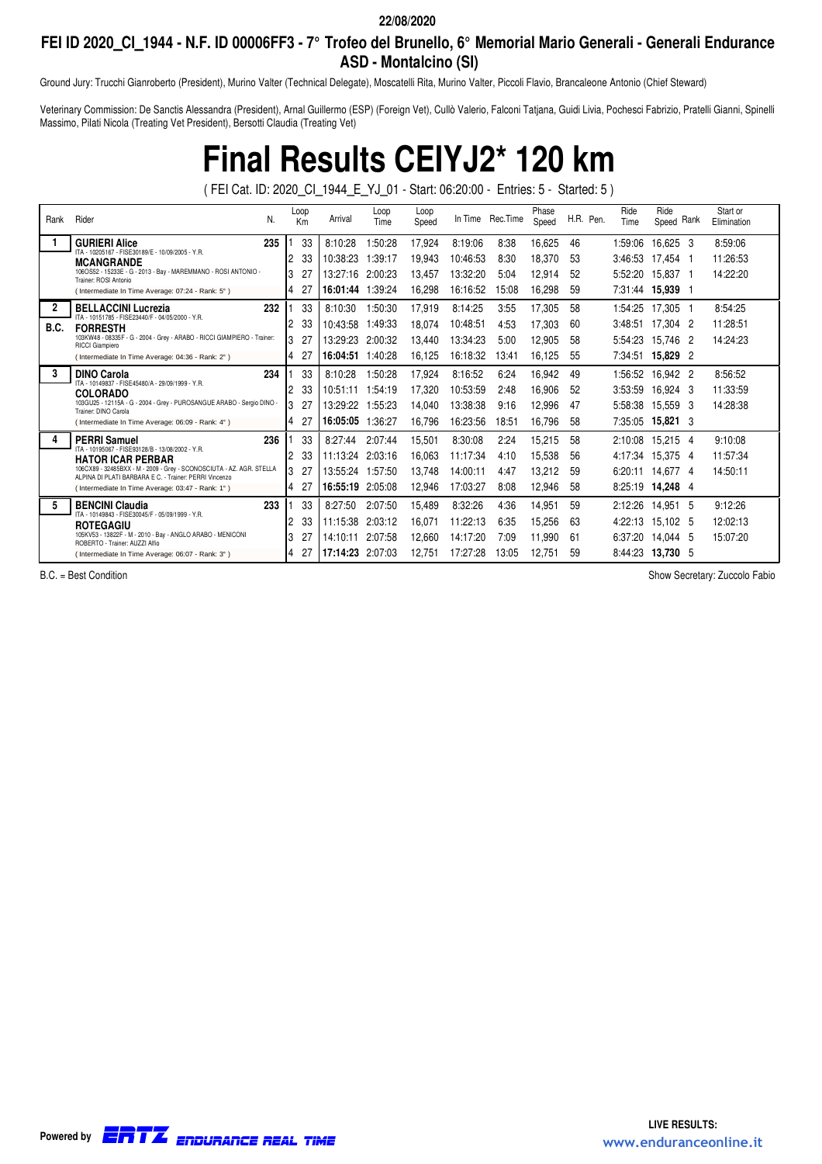## **FEI ID 2020\_CI\_1944 - N.F. ID 00006FF3 - 7° Trofeo del Brunello, 6° Memorial Mario Generali - Generali Endurance ASD - Montalcino (SI)**

Ground Jury: Trucchi Gianroberto (President), Murino Valter (Technical Delegate), Moscatelli Rita, Murino Valter, Piccoli Flavio, Brancaleone Antonio (Chief Steward)

Veterinary Commission: De Sanctis Alessandra (President), Arnal Guillermo (ESP) (Foreign Vet), Cullò Valerio, Falconi Tatjana, Guidi Livia, Pochesci Fabrizio, Pratelli Gianni, Spinelli Massimo, Pilati Nicola (Treating Vet President), Bersotti Claudia (Treating Vet)

**Final Results CEIYJ2\* 120 km**

( FEI Cat. ID: 2020\_CI\_1944\_E\_YJ\_01 - Start: 06:20:00 - Entries: 5 - Started: 5 )

| Rank         | Rider<br>N.                                                                                                                    | Loop<br>Km |    | Arrival          | Loop<br>Time | Loop<br>Speed |          | In Time Rec. Time | Phase<br>Speed | H.R. Pen. | Ride<br>Time | Ride<br>Rank<br>Speed | Start or<br>Elimination |
|--------------|--------------------------------------------------------------------------------------------------------------------------------|------------|----|------------------|--------------|---------------|----------|-------------------|----------------|-----------|--------------|-----------------------|-------------------------|
|              | 235<br><b>GURIERI Alice</b>                                                                                                    | 33         |    | 8:10:28          | 1:50:28      | 17,924        | 8:19:06  | 8:38              | 16,625         | 46        | 1:59:06      | 16,625 3              | 8:59:06                 |
|              | ITA - 10205167 - FISE30189/E - 10/09/2005 - Y.R.<br><b>MCANGRANDE</b>                                                          | 33<br>2    |    | 10:38:23         | 39:17:       | 19,943        | 10:46:53 | 8:30              | 18,370         | 53        | 3:46:53      | 17.454                | 11:26:53                |
|              | 106OS52 - 15233E - G - 2013 - Bay - MAREMMANO - ROSI ANTONIO -<br>Trainer: ROSI Antonio                                        | 3<br>27    |    | 13:27:16         | 2:00:23      | 13.457        | 13:32:20 | 5:04              | 12,914         | 52        | 5:52:20      | 15.837<br>- 1         | 14:22:20                |
|              | (Intermediate In Time Average: 07:24 - Rank: 5°)                                                                               | 27<br>4    |    | 16:01:44         | 1:39:24      | 16,298        | 16:16:52 | 15:08             | 16,298         | 59        | 7:31:44      | 15,939 1              |                         |
| $\mathbf{2}$ | 232<br><b>BELLACCINI Lucrezia</b><br>ITA - 10151785 - FISE23440/F - 04/05/2000 - Y.R.                                          | 33         |    | 8:10:30          | 1:50:30      | 17,919        | 8:14:25  | 3:55              | 17,305         | 58        | 1:54:25      | 17,305 1              | 8:54:25                 |
| B.C.         | <b>FORRESTH</b>                                                                                                                | 33<br>2    |    | 10:43:58         | 1:49:33      | 18,074        | 10:48:51 | 4:53              | 17,303         | 60        | 3:48:51      | 17.304<br>- 2         | 11:28:51                |
|              | 103KW48 - 08335F - G - 2004 - Grey - ARABO - RICCI GIAMPIERO - Trainer:<br><b>RICCI Giampiero</b>                              | 3<br>27    |    | 13:29:23         | 2:00:32      | 13.440        | 13:34:23 | 5:00              | 12,905         | 58        | 5:54:23      | 15,746<br>- 2         | 14:24:23                |
|              | (Intermediate In Time Average: 04:36 - Rank: 2°)                                                                               | 27<br>4    |    | 16:04:51         | 1:40:28      | 16,125        | 16:18:32 | 13:41             | 16.125         | 55        | 7:34:51      | 15,829 2              |                         |
| 3            | <b>DINO Carola</b><br>234                                                                                                      | 33         |    | 8:10:28          | 1:50:28      | 17,924        | 8:16:52  | 6:24              | 16,942         | 49        | 1:56:52      | 16,942 2              | 8:56:52                 |
|              | ITA - 10149837 - FISE45480/A - 29/09/1999 - Y.R.<br><b>COLORADO</b>                                                            | 33<br>2    |    | 10:51:11         | 1:54:19      | 17.320        | 10:53:59 | 2:48              | 16,906         | 52        | 3:53:59      | 16.924 3              | 11:33:59                |
|              | 103GU25 - 12115A - G - 2004 - Grey - PUROSANGUE ARABO - Sergio DINO -<br>Trainer: DINO Carola                                  | 3<br>27    |    | 13:29:22         | 1:55:23      | 14,040        | 13:38:38 | 9:16              | 12,996         | 47        | 5:58:38      | 15,559<br>-3          | 14:28:38                |
|              | (Intermediate In Time Average: 06:09 - Rank: 4°)                                                                               | 4<br>27    |    | 16:05:05         | 1:36:27      | 16,796        | 16:23:56 | 18:51             | 16.796         | 58        | 7:35:05      | 15,821 3              |                         |
|              | 236<br><b>PERRI Samuel</b>                                                                                                     |            | 33 | 8:27:44          | 2:07:44      | 15,501        | 8:30:08  | 2:24              | 15,215         | 58        | 2:10:08      | 15.215 4              | 9:10:08                 |
|              | ITA - 10195067 - FISE93128/B - 13/08/2002 - Y.R.<br><b>HATOR ICAR PERBAR</b>                                                   | 33<br>2    |    | 11:13:24         | 2:03:16      | 16.063        | 11:17:34 | 4:10              | 15,538         | 56        | 4:17:34      | 15.375 4              | 11:57:34                |
|              | 106CX89 - 32485BXX - M - 2009 - Grey - SCONOSCIUTA - AZ. AGR. STELLA<br>ALPINA DI PLATI BARBARA E C. - Trainer: PERRI Vincenzo | 3<br>27    |    | 13:55:24         | 1:57:50      | 13.748        | 14:00:11 | 4:47              | 13,212         | 59        | 6:20:11      | 14.677 4              | 14:50:11                |
|              | (Intermediate In Time Average: 03:47 - Rank: 1°)                                                                               | 27<br>4    |    | 16:55:19 2:05:08 |              | 12,946        | 17:03:27 | 8:08              | 12,946         | 58        | 8:25:19      | 14,248 4              |                         |
| 5.           | 233<br><b>BENCINI Claudia</b>                                                                                                  | 33         |    | 8:27:50          | 2:07:50      | 15,489        | 8:32:26  | 4:36              | 14,951         | 59        | 2:12:26      | 14.951<br>- 5         | 9:12:26                 |
|              | ITA - 10149843 - FISE30045/F - 05/09/1999 - Y.R.<br><b>ROTEGAGIU</b>                                                           | 33<br>2    |    | 11:15:38         | 2:03:12      | 16.071        | 11:22:13 | 6:35              | 15,256         | 63        | 4:22:13      | 15.102 5              | 12:02:13                |
|              | 105KV53 - 13822F - M - 2010 - Bay - ANGLO ARABO - MENICONI<br>ROBERTO - Trainer: AUZZI Alfio                                   | 3<br>27    |    | 14:10:11         | 2:07:58      | 12,660        | 14:17:20 | 7:09              | 11,990         | -61       | 6:37:20      | 14.044 5              | 15:07:20                |
|              | (Intermediate In Time Average: 06:07 - Rank: 3°)                                                                               | 27<br>4    |    | 17:14:23 2:07:03 |              | 12.751        | 17:27:28 | 13:05             | 12.751         | 59        | 8:44:23      | 13.730 5              |                         |

B.C. = Best Condition Contract Condition Show Secretary: Zuccolo Fabio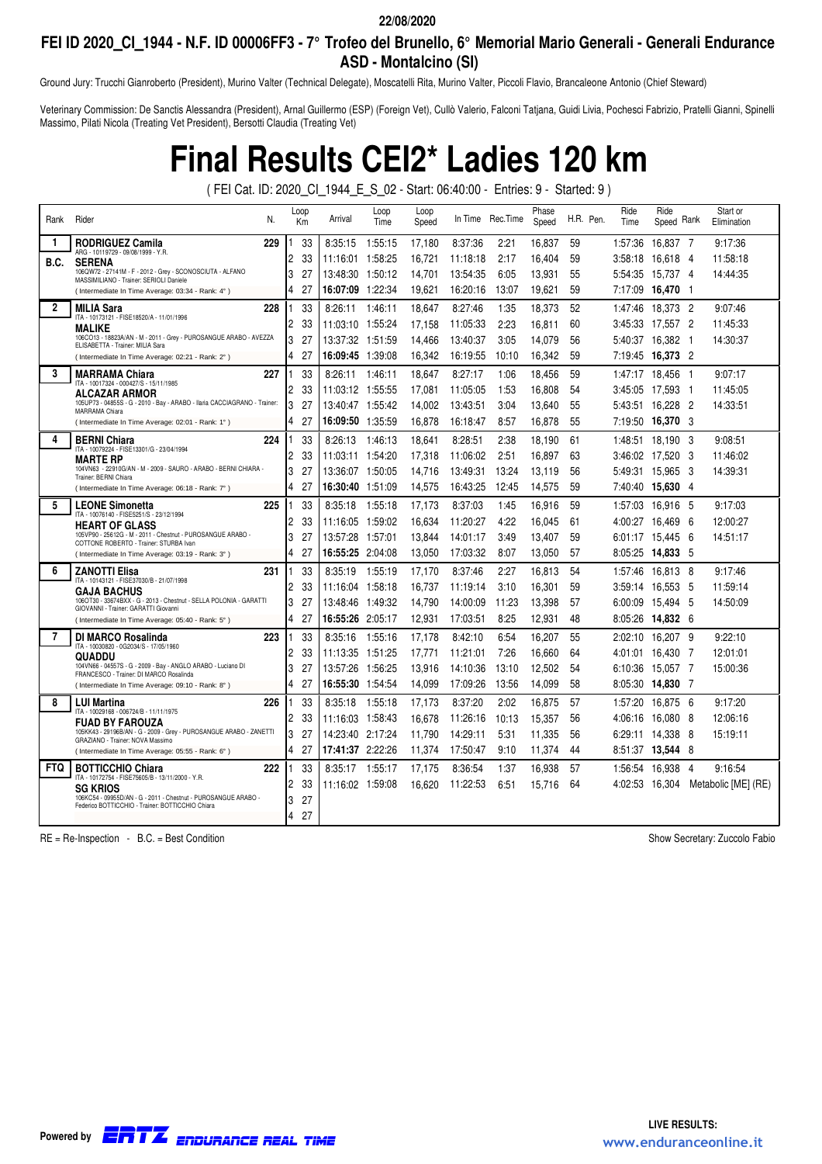## **FEI ID 2020\_CI\_1944 - N.F. ID 00006FF3 - 7° Trofeo del Brunello, 6° Memorial Mario Generali - Generali Endurance ASD - Montalcino (SI)**

Ground Jury: Trucchi Gianroberto (President), Murino Valter (Technical Delegate), Moscatelli Rita, Murino Valter, Piccoli Flavio, Brancaleone Antonio (Chief Steward)

Veterinary Commission: De Sanctis Alessandra (President), Arnal Guillermo (ESP) (Foreign Vet), Cullò Valerio, Falconi Tatjana, Guidi Livia, Pochesci Fabrizio, Pratelli Gianni, Spinelli Massimo, Pilati Nicola (Treating Vet President), Bersotti Claudia (Treating Vet)

## **Final Results CEI2\* Ladies 120 km**

( FEI Cat. ID: 2020\_CI\_1944\_E\_S\_02 - Start: 06:40:00 - Entries: 9 - Started: 9 )

| Rank         | Rider<br>N.                                                                                                        | Loop<br>Km           | Arrival                 | Loop<br>Time | Loop<br>Speed |          | In Time Rec. Time | Phase<br>Speed |    | H.R. Pen. | Ride<br>Time | Ride<br>Speed Rank      |                | Start or<br>Elimination |
|--------------|--------------------------------------------------------------------------------------------------------------------|----------------------|-------------------------|--------------|---------------|----------|-------------------|----------------|----|-----------|--------------|-------------------------|----------------|-------------------------|
| 1            | 229<br>RODRIGUEZ Camila                                                                                            | 33                   | 8:35:15                 | 1:55:15      | 17,180        | 8:37:36  | 2:21              | 16,837         | 59 |           | 1:57:36      | 16,837 7                |                | 9:17:36                 |
| B.C.         | ARG - 10119729 - 09/08/1999 - Y.R.<br><b>SERENA</b>                                                                | 2<br>33              | 11:16:01 1:58:25        |              | 16,721        | 11:18:18 | 2:17              | 16.404         | 59 |           | 3:58:18      | 16,618                  | - 4            | 11:58:18                |
|              | 106QW72 - 27141M - F - 2012 - Grey - SCONOSCIUTA - ALFANO<br>MASSIMILIANO - Trainer: SERIOLI Daniele               | 3<br>27              | 13:48:30                | 1:50:12      | 14.701        | 13:54:35 | 6:05              | 13,931         | 55 |           | 5:54:35      | 15.737 4                |                | 14:44:35                |
|              | (Intermediate In Time Average: 03:34 - Rank: 4°)                                                                   | 4<br>27              | <b>16:07:09</b> 1:22:34 |              | 19.621        | 16:20:16 | 13:07             | 19.621         | 59 |           | 7:17:09      | 16.470 1                |                |                         |
| $\mathbf{2}$ | <b>MILIA Sara</b><br>228                                                                                           | 33                   | 8:26:11                 | 1:46:11      | 18.647        | 8:27:46  | 1:35              | 18.373         | 52 |           | 1:47:46      | 18.373 2                |                | 9:07:46                 |
|              | ITA - 10173121 - FISE18520/A - 11/01/1996<br><b>MALIKE</b>                                                         | $\overline{c}$<br>33 | 11:03:10 1:55:24        |              | 17,158        | 11:05:33 | 2:23              | 16,811         | 60 |           | 3:45:33      | 17,557 2                |                | 11:45:33                |
|              | 106CO13 - 18823A/AN - M - 2011 - Grey - PUROSANGUE ARABO - AVEZZA<br>ELISABETTA - Trainer: MILIA Sara              | 3<br>27              |                         |              | 14,466        | 13:40:37 | 3:05              | 14,079         | 56 |           | 5:40:37      | 16,382                  | - 1            | 14:30:37                |
|              | (Intermediate In Time Average: 02:21 - Rank: 2°)                                                                   | 27<br>4              |                         |              | 16,342        | 16:19:55 | 10:10             | 16,342         | 59 |           |              | 7:19:45 <b>16.373</b> 2 |                |                         |
| 3            | <b>MARRAMA Chiara</b><br>227                                                                                       | 33                   | 8:26:11                 | 1:46:11      | 18,647        | 8:27:17  | 1:06              | 18.456         | 59 |           | 1:47:17      | 18,456                  | - 1            | 9:07:17                 |
|              | ITA - 10017324 - 000427/S - 15/11/1985<br><b>ALCAZAR ARMOR</b>                                                     | 2<br>33              | 11:03:12 1:55:55        |              | 17,081        | 11:05:05 | 1:53              | 16,808         | 54 |           |              | 3:45:05 17.593 1        |                | 11:45:05                |
|              | 105UP73 - 04855S - G - 2010 - Bay - ARABO - Ilaria CACCIAGRANO - Trainer:<br>MARRAMA Chiara                        | 3<br>27              |                         |              | 14.002        | 13:43:51 | 3:04              | 13,640         | 55 |           | 5:43:51      | 16.228                  | - 2            | 14:33:51                |
|              | (Intermediate In Time Average: 02:01 - Rank: 1°)                                                                   | 27<br>4              | 16:09:50 1:35:59        |              | 16,878        | 16:18:47 | 8:57              | 16.878         | 55 |           | 7:19:50      | 16,370 3                |                |                         |
| 4            | <b>BERNI Chiara</b><br>224                                                                                         | 33                   | 8:26:13                 | 1:46:13      | 18.641        | 8:28:51  | 2:38              | 18.190         | 61 |           | 1:48:51      | 18.190 3                |                | 9:08:51                 |
|              | ITA - 10079224 - FISE13301/G - 23/04/1994<br><b>MARTE RP</b>                                                       | 2<br>33              | 11:03:11 1:54:20        |              | 17,318        | 11:06:02 | 2:51              | 16,897         | 63 |           |              | 3:46:02 17.520 3        |                | 11:46:02                |
|              | 104VN63 - 22910G/AN - M - 2009 - SAURO - ARABO - BERNI CHIARA -<br>Trainer: BERNI Chiara                           | 3<br>27              | 13:36:07 1:50:05        |              | 14,716        | 13:49:31 | 13:24             | 13,119         | 56 |           | 5:49:31      | 15,965                  | - 3            | 14:39:31                |
|              | (Intermediate In Time Average: 06:18 - Rank: 7°)                                                                   | 27<br>4              | <b>16:30:40</b> 1:51:09 |              | 14,575        | 16:43:25 | 12:45             | 14,575         | 59 |           |              | 7:40:40 15,630 4        |                |                         |
| 5            | <b>LEONE Simonetta</b><br>225                                                                                      | 33                   | 8:35:18                 | 1:55:18      | 17,173        | 8:37:03  | 1:45              | 16,916         | 59 |           | 1:57:03      | 16,916 5                |                | 9:17:03                 |
|              | ITA - 10076140 - FISE5251/S - 23/12/1994<br><b>HEART OF GLASS</b>                                                  | 33<br>2              | 11:16:05 1:59:02        |              | 16,634        | 11:20:27 | 4:22              | 16,045         | 61 |           | 4:00:27      | 16.469                  | - 6            | 12:00:27                |
|              | 105VP90 - 25612G - M - 2011 - Chestnut - PUROSANGUE ARABO -<br>COTTONE ROBERTO - Trainer: STURBA Ivan              | 3<br>27              | 13:57:28 1:57:01        |              | 13,844        | 14:01:17 | 3:49              | 13,407         | 59 |           |              | 6:01:17 15.445          | - 6            | 14:51:17                |
|              | (Intermediate In Time Average: 03:19 - Rank: 3°)                                                                   | 4<br>27              | 16:55:25 2:04:08        |              | 13.050        | 17:03:32 | 8:07              | 13.050         | 57 |           |              | 8:05:25 14,833 5        |                |                         |
| 6            | <b>ZANOTTI Elisa</b><br>231                                                                                        | 33                   | 8:35:19                 | 1:55:19      | 17.170        | 8:37:46  | 2:27              | 16.813         | 54 |           | 1:57:46      | 16.813                  | - 8            | 9:17:46                 |
|              | ITA - 10143121 - FISE37030/B - 21/07/1998<br><b>GAJA BACHUS</b>                                                    | 2<br>33              | 11:16:04 1:58:18        |              | 16,737        | 11:19:14 | 3:10              | 16,301         | 59 |           |              | 3:59:14 16.553          | - 5            | 11:59:14                |
|              | 106OT30 - 33674BXX - G - 2013 - Chestnut - SELLA POLONIA - GARATTI<br>GIOVANNI - Trainer: GARATTI Giovanni         | 3<br>27              | 13:48:46  1:49:32       |              | 14,790        | 14:00:09 | 11:23             | 13,398         | 57 |           |              | 6:00:09 15.494 5        |                | 14:50:09                |
|              | (Intermediate In Time Average: 05:40 - Rank: 5°)                                                                   | 27<br>4              | <b>16:55:26</b> 2:05:17 |              | 12,931        | 17:03:51 | 8:25              | 12,931         | 48 |           |              | 8:05:26 14,832 6        |                |                         |
| 7            | <b>DI MARCO Rosalinda</b><br>223                                                                                   | 33                   | 8:35:16                 | 1:55:16      | 17,178        | 8:42:10  | 6:54              | 16,207         | 55 |           | 2:02:10      | 16.207 9                |                | 9:22:10                 |
|              | ITA - 10030820 - 0G2034/S - 17/05/1960<br>QUADDU                                                                   | 33<br>2              | 11:13:35 1:51:25        |              | 17,771        | 11:21:01 | 7:26              | 16.660         | 64 |           | 4:01:01      | 16.430 7                |                | 12:01:01                |
|              | 104VN66 - 04557S - G - 2009 - Bay - ANGLO ARABO - Luciano DI<br>FRANCESCO - Trainer: DI MARCO Rosalinda            | 3<br>27              | 13:57:26 1:56:25        |              | 13,916        | 14:10:36 | 13:10             | 12.502         | 54 |           | 6:10:36      | 15.057 7                |                | 15:00:36                |
|              | (Intermediate In Time Average: 09:10 - Rank: 8°)                                                                   | 27<br>4              | 16:55:30 1:54:54        |              | 14,099        | 17:09:26 | 13:56             | 14.099         | 58 |           | 8:05:30      | 14.830 7                |                |                         |
| 8            | <b>LUI Martina</b><br>226                                                                                          | 33                   | 8:35:18                 | 1:55:18      | 17,173        | 8:37:20  | 2:02              | 16,875         | 57 |           | 1:57:20      | 16,875                  | - 6            | 9:17:20                 |
|              | ITA - 10029168 - 006724/B - 11/11/1975<br><b>FUAD BY FAROUZA</b>                                                   | 2<br>33              | 11:16:03 1:58:43        |              | 16,678        | 11:26:16 | 10:13             | 15,357         | 56 |           | 4:06:16      | 16,080                  | - 8            | 12:06:16                |
|              | 105KK43 - 29196B/AN - G - 2009 - Grey - PUROSANGUE ARABO - ZANETTI<br>GRAZIANO - Trainer: NOVA Massimo             | 3<br>27              | 14:23:40 2:17:24        |              | 11,790        | 14:29:11 | 5:31              | 11,335         | 56 |           | 6:29:11      | 14.338                  | - 8            | 15:19:11                |
|              | (Intermediate In Time Average: 05:55 - Rank: 6°)                                                                   | 27<br>4              | 17:41:37 2:22:26        |              | 11,374        | 17:50:47 | 9:10              | 11,374         | 44 |           |              | 8:51:37 <b>13,544</b> 8 |                |                         |
| <b>FTQ</b>   | 222<br><b>BOTTICCHIO Chiara</b>                                                                                    | 33                   | 8:35:17                 | 1:55:17      | 17,175        | 8:36:54  | 1:37              | 16,938         | 57 |           | 1:56:54      | 16,938                  | $\overline{4}$ | 9:16:54                 |
|              | ITA - 10172754 - FISE75605/B - 13/11/2000 - Y.R.<br><b>SG KRIOS</b>                                                | 2<br>33              | 11:16:02 1:59:08        |              | 16,620        | 11:22:53 | 6:51              | 15.716         | 64 |           | 4:02:53      | 16,304                  |                | Metabolic [ME] (RE)     |
|              | 106KC54 - 09955D/AN - G - 2011 - Chestnut - PUROSANGUE ARABO -<br>Federico BOTTICCHIO - Trainer: BOTTICCHIO Chiara | 3<br>27              |                         |              |               |          |                   |                |    |           |              |                         |                |                         |
|              |                                                                                                                    | 27<br>4              |                         |              |               |          |                   |                |    |           |              |                         |                |                         |

RE = Re-Inspection - B.C. = Best Condition Show Secretary: Zuccolo Fabio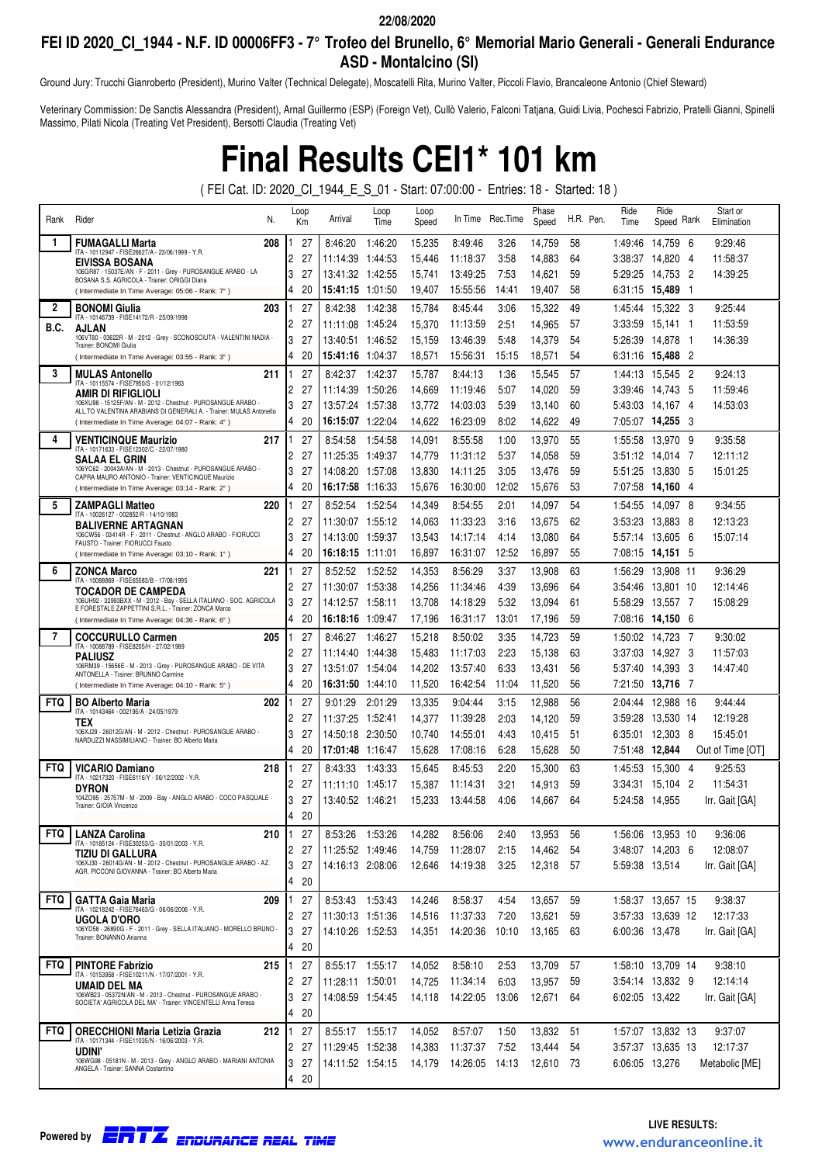## **FEI ID 2020\_CI\_1944 - N.F. ID 00006FF3 - 7° Trofeo del Brunello, 6° Memorial Mario Generali - Generali Endurance ASD - Montalcino (SI)**

Ground Jury: Trucchi Gianroberto (President), Murino Valter (Technical Delegate), Moscatelli Rita, Murino Valter, Piccoli Flavio, Brancaleone Antonio (Chief Steward)

Veterinary Commission: De Sanctis Alessandra (President), Arnal Guillermo (ESP) (Foreign Vet), Cullò Valerio, Falconi Tatjana, Guidi Livia, Pochesci Fabrizio, Pratelli Gianni, Spinelli Massimo, Pilati Nicola (Treating Vet President), Bersotti Claudia (Treating Vet)

# **Final Results CEI1\* 101 km**

( FEI Cat. ID: 2020\_CI\_1944\_E\_S\_01 - Start: 07:00:00 - Entries: 18 - Started: 18 )

| Rank         | Rider<br>N.                                                                                                                  | Loop<br>Кm |          | Arrival                              | Loop<br>Time | Loop<br>Speed    |                      | In Time Rec. Time | Phase<br>Speed   | H.R. Pen. | Ride<br>Time       | Ride<br>Speed Rank      |                | Start or<br>Elimination |
|--------------|------------------------------------------------------------------------------------------------------------------------------|------------|----------|--------------------------------------|--------------|------------------|----------------------|-------------------|------------------|-----------|--------------------|-------------------------|----------------|-------------------------|
| 1            | <b>FUMAGALLI Marta</b><br>208                                                                                                |            | 27       | 8:46:20                              | 1:46:20      | 15,235           | 8:49:46              | 3:26              | 14,759           | 58        | 1:49:46            | 14,759 6                |                | 9:29:46                 |
|              | ITA - 10112947 - FISE26627/A - 23/06/1999 - Y.R.<br><b>EIVISSA BOSANA</b>                                                    | 2          | 27       | 11:14:39 1:44:53                     |              | 15,446           | 11:18:37             | 3:58              | 14,883           | 64        | 3:38:37            | 14,820 4                |                | 11:58:37                |
|              | 106GR87 - 15037E/AN - F - 2011 - Grey - PUROSANGUE ARABO - LA<br>BOSANA S.S. AGRICOLA - Trainer: ORIGGI Diana                | 3          | 27       | 13:41:32 1:42:55                     |              | 15,741           | 13:49:25             | 7:53              | 14,621           | 59        | 5:29:25            | 14,753                  | $\overline{c}$ | 14:39:25                |
|              | (Intermediate In Time Average: 05:06 - Rank: 7°)                                                                             | 4          | 20       | 15:41:15 1:01:50                     |              | 19,407           | 15:55:56             | 14:41             | 19,407           | 58        |                    | 6:31:15 15,489          | - 1            |                         |
| $\mathbf{2}$ | 203<br><b>BONOMI Giulia</b><br>ITA - 10146739 - FISE14172/R - 25/09/1998                                                     |            | 27       | 8:42:38                              | 1:42:38      | 15,784           | 8:45:44              | 3:06              | 15,322           | 49        |                    | 1:45:44 15,322 3        |                | 9:25:44                 |
| B.C.         | AJLAN                                                                                                                        | 2          | 27       | 11:11:08 1:45:24                     |              | 15,370           | 11:13:59             | 2:51              | 14,965           | 57        | 3:33:59            | 15,141 1                |                | 11:53:59                |
|              | 106VT80 - 03622R - M - 2012 - Grey - SCONOSCIUTA - VALENTINI NADIA -<br>Trainer: BONOMI Giulia                               | 3          | 27       | 13:40:51 1:46:52                     |              | 15,159           | 13:46:39             | 5:48              | 14,379           | 54        | 5:26:39            | 14,878                  | - 1            | 14:36:39                |
|              | (Intermediate In Time Average: 03:55 - Rank: 3°)                                                                             | 4          | 20       | 15:41:16 1:04:37                     |              | 18,571           | 15:56:31             | 15:15             | 18,571           | 54        | 6:31:16            | 15,488 2                |                |                         |
| 3            | 211<br><b>MULAS Antonello</b><br>ITA - 10115574 - FISE7950/S - 01/12/1963                                                    |            | 27       | 8:42:37                              | 1:42:37      | 15,787           | 8:44:13              | 1:36              | 15,545           | 57        | 1:44:13            | 15.545 2                |                | 9:24:13                 |
|              | AMIR DI RIFIGLIOLI<br>106XU98 - 15125F/AN - M - 2012 - Chestnut - PUROSANGUE ARABO                                           | 2<br>3     | 27<br>27 | 11:14:39 1:50:26<br>13:57:24 1:57:38 |              | 14,669<br>13,772 | 11:19:46<br>14:03:03 | 5:07<br>5:39      | 14,020<br>13,140 | 59<br>60  | 3:39:46<br>5:43:03 | 14,743<br>14,167 4      | - 5            | 11:59:46<br>14:53:03    |
|              | ALL.TO VALENTINA ARABIANS DI GENERALI A. - Trainer: MULAS Antonello<br>(Intermediate In Time Average: 04:07 - Rank: 4°)      | 4          | 20       | 16:15:07 1:22:04                     |              | 14,622           | 16:23:09             | 8:02              | 14,622           | 49        |                    | 7:05:07 14,255 3        |                |                         |
| 4            | <b>VENTICINQUE Maurizio</b><br>217                                                                                           |            | 27       | 8:54:58                              | 1:54:58      | 14,091           | 8:55:58              | 1:00              | 13,970           | 55        | 1:55:58            | 13,970 9                |                | 9:35:58                 |
|              | ITA - 10171633 - FISE12302/C - 22/07/1980                                                                                    | 2          | 27       | 11:25:35 1:49:37                     |              | 14,779           | 11:31:12             | 5:37              | 14,058           | 59        | 3:51:12            | 14,014 7                |                | 12:11:12                |
|              | SALAA EL GRIN<br>106YC62 - 20043A/AN - M - 2013 - Chestnut - PUROSANGUE ARABO -                                              | 3          | 27       | 14:08:20 1:57:08                     |              | 13,830           | 14:11:25             | 3:05              | 13,476           | 59        | 5:51:25            | 13,830 5                |                | 15:01:25                |
|              | CAPRA MAURO ANTONIO - Trainer: VENTICINQUE Maurizio<br>(Intermediate In Time Average: 03:14 - Rank: 2°)                      | 4          | 20       |                                      |              | 15,676           | 16:30:00             | 12:02             | 15,676           | 53        |                    | 7:07:58 <b>14.160</b> 4 |                |                         |
| 5            | <b>ZAMPAGLI Matteo</b><br>220                                                                                                |            | 27       | 8:52:54                              | 1:52:54      | 14,349           | 8:54:55              | 2:01              | 14,097           | 54        | 1:54:55            | 14.097 8                |                | 9:34:55                 |
|              | ITA - 10026127 - 002852/R - 14/10/1983<br><b>BALIVERNE ARTAGNAN</b>                                                          | 2          | 27       | 11:30:07                             | 1:55:12      | 14,063           | 11:33:23             | 3:16              | 13,675           | 62        | 3:53:23            | 13.883 8                |                | 12:13:23                |
|              | 106CW56 - 03414R - F - 2011 - Chestnut - ANGLO ARABO - FIORUCCI<br>FAUSTO - Trainer: FIORUCCI Fausto                         | 3          | 27       | 14:13:00 1:59:37                     |              | 13,543           | 14:17:14             | 4:14              | 13,080           | 64        | 5:57:14            | 13,605                  | - 6            | 15:07:14                |
|              | (Intermediate In Time Average: 03:10 - Rank: 1°)                                                                             | 4          | 20       | 16:18:15 1:11:01                     |              | 16,897           | 16:31:07             | 12:52             | 16,897           | 55        |                    | 7:08:15 14,151 5        |                |                         |
| 6            | <b>ZONCA Marco</b><br>221                                                                                                    |            | 27       | 8:52:52                              | 1:52:52      | 14,353           | 8:56:29              | 3:37              | 13,908           | 63        | 1:56:29            | 13,908 11               |                | 9:36:29                 |
|              | ITA - 10088869 - FISE65583/B - 17/08/1995<br><b>TOCADOR DE CAMPEDA</b>                                                       | 2          | 27       | 11:30:07 1:53:38                     |              | 14,256           | 11:34:46             | 4:39              | 13,696           | 64        | 3:54:46            | 13,801 10               |                | 12:14:46                |
|              | 106UH92 - 32993BXX - M - 2012 - Bay - SELLA ITALIANO - SOC. AGRICOLA<br>E FORESTALE ZAPPETTINI S.R.L. - Trainer: ZONCA Marco | 3          | 27       |                                      |              | 13,708           | 14:18:29             | 5:32              | 13,094           | 61        | 5:58:29            | 13,557 7                |                | 15:08:29                |
|              | (Intermediate In Time Average: 04:36 - Rank: 6°)                                                                             | 4          | 20       |                                      |              | 17,196           | 16:31:17             | 13:01             | 17,196           | 59        |                    | 7:08:16 14,150 6        |                |                         |
| 7            | <b>COCCURULLO Carmen</b><br>205<br>ITA - 10088789 - FISE8205/H - 27/02/1989                                                  |            | 27       | 8:46:27                              | 1:46:27      | 15,218           | 8:50:02              | 3:35              | 14,723           | 59        | 1:50:02            | 14.723 7                |                | 9:30:02                 |
|              | <b>PALIUSZ</b><br>106RM39 - 15656E - M - 2013 - Grey - PUROSANGUE ARABO - DE VITA                                            | 2          | 27       |                                      |              | 15,483           | 11:17:03             | 2:23              | 15,138           | 63        |                    | 3:37:03 14.927 3        |                | 11:57:03                |
|              | ANTONELLA - Trainer: BRUNNO Carmine                                                                                          | 3<br>4     | 27<br>20 | 13:51:07 1:54:04                     |              | 14,202<br>11,520 | 13:57:40             | 6:33              | 13,431<br>11,520 | 56<br>56  |                    | 5:37:40 14.393 3        |                | 14:47:40                |
| <b>FTQ</b>   | (Intermediate In Time Average: 04:10 - Rank: 5°)                                                                             |            | 27       | 16:31:50 1:44:10                     |              |                  | 16:42:54             | 11:04             |                  |           |                    | 7:21:50 13,716 7        |                | 9:44:44                 |
|              | <b>BO Alberto Maria</b><br>202<br>ITA - 10143464 - 002195/A - 24/05/1979                                                     | 2          | 27       | 9:01:29                              | 2:01:29      | 13,335<br>14,377 | 9:04:44<br>11:39:28  | 3:15<br>2:03      | 12,988<br>14,120 | 56<br>59  | 2:04:44<br>3:59:28 | 12,988 16<br>13,530 14  |                | 12:19:28                |
|              | TEX<br>106XJ29 - 26012G/AN - M - 2012 - Chestnut - PUROSANGUE ARABO                                                          | 3          | 27       | 14:50:18 2:30:50                     |              | 10,740           | 14:55:01             | 4:43              | 10,415           | 51        | 6:35:01            | 12,303 8                |                | 15:45:01                |
|              | NARDUZZI MASSIMILIANO - Trainer: BO Alberto Maria                                                                            | 4          | 20       | 17:01:48 1:16:47                     |              | 15,628           | 17:08:16             | 6:28              | 15,628           | 50        | 7:51:48 12.844     |                         |                | Out of Time [OT]        |
| <b>FTQ</b>   | <b>VICARIO Damiano</b><br>218                                                                                                |            | 27       | 8:43:33                              | 1:43:33      | 15,645           | 8:45:53              | 2:20              | 15,300           | 63        | 1:45:53            | 15,300 4                |                | 9:25:53                 |
|              | ITA - 10217320 - FISE6116/Y - 06/12/2002 - Y.R.<br><b>DYRON</b>                                                              | 2          | 27       | 11:11:10 1:45:17                     |              | 15,387           | 11:14:31             | 3:21              | 14,913           | 59        | 3:34:31            | 15,104 2                |                | 11:54:31                |
|              | 104ZO95 - 25757M - M - 2009 - Bay - ANGLO ARABO - COCO PASQUALE -<br>Trainer: GIOIA Vincenzo                                 | 3          | 27       | 13:40:52 1:46:21                     |              | 15,233           | 13:44:58             | 4:06              | 14,667           | 64        | 5:24:58 14.955     |                         |                | Irr. Gait [GA]          |
|              |                                                                                                                              | 4          | 20       |                                      |              |                  |                      |                   |                  |           |                    |                         |                |                         |
| <b>FTQ</b>   | 210<br><b>LANZA Carolina</b>                                                                                                 |            | 27       | 8:53:26 1:53:26                      |              | 14,282           | 8:56:06              | 2:40              | 13,953           | 56        |                    | 1:56:06 13,953 10       |                | 9:36:06                 |
|              | ITA - 10185124 - FISE30253/G - 30/01/2003 - Y.R.<br>TIZIU DI GALLURA                                                         | 2          | 27       | 11:25:52 1:49:46                     |              | 14,759           | 11:28:07             | 2:15              | 14,462           | 54        |                    | 3:48:07 14,203 6        |                | 12:08:07                |
|              | 106XJ30 - 26014G/AN - M - 2012 - Chestnut - PUROSANGUE ARABO - AZ.<br>AGR. PICCONI GIOVANNA - Trainer: BO Alberto Maria      | 3          | 27       | 14:16:13 2:08:06                     |              | 12,646           | 14:19:38             | 3:25              | 12,318           | 57        | 5:59:38 13,514     |                         |                | Irr. Gait [GA]          |
|              |                                                                                                                              | 4          | 20       |                                      |              |                  |                      |                   |                  |           |                    |                         |                |                         |
| <b>FTQ</b>   | <b>GATTA Gaia Maria</b><br>209<br>ITA - 10218242 - FISE76463/G - 06/06/2006 - Y.R.                                           |            | 27       | 8:53:43 1:53:43                      |              | 14,246           | 8:58:37              | 4:54              | 13,657           | 59        |                    | 1:58:37 13.657 15       |                | 9:38:37                 |
|              | <b>UGOLA D'ORO</b>                                                                                                           | 2          | 27       | 11:30:13 1:51:36                     |              | 14,516           | 11:37:33             | 7:20              | 13,621           | 59        |                    | 3:57:33 13,639 12       |                | 12:17:33                |
|              | 106YD58 - 26890G - F - 2011 - Grey - SELLA ITALIANO - MORELLO BRUNO -<br>Trainer: BONANNO Arianna                            | 3          | 27       | 14:10:26 1:52:53                     |              | 14,351           | 14:20:36             | 10:10             | 13,165           | 63        | 6:00:36 13.478     |                         |                | Irr. Gait [GA]          |
|              |                                                                                                                              | 4          | 20       |                                      |              |                  |                      |                   |                  |           |                    |                         |                |                         |
| <b>FTQ</b>   | <b>PINTORE Fabrizio</b><br>215<br>ITA - 10153958 - FISE10211/N - 17/07/2001 - Y.R.                                           |            | 27<br>27 | 8:55:17 1:55:17                      |              | 14,052           | 8:58:10              | 2:53              | 13,709           | 57<br>59  |                    | 1:58:10 13.709 14       |                | 9:38:10<br>12:14:14     |
|              | UMAID DEL MA<br>106WB23 - 05372N/AN - M - 2013 - Chestnut - PUROSANGUE ARABO -                                               | 2<br>3     | 27       | 11:28:11 1:50:01<br>14:08:59 1:54:45 |              | 14,725<br>14,118 | 11:34:14<br>14:22:05 | 6:03<br>13:06     | 13,957<br>12,671 | 64        | 6:02:05 13,422     | 3:54:14 13,832 9        |                | Irr. Gait [GA]          |
|              | SOCIETA' AGRICOLA DEL MA' - Trainer: VINCENTELLI Anna Teresa                                                                 | 4          | 20       |                                      |              |                  |                      |                   |                  |           |                    |                         |                |                         |
| <b>FTQ</b>   | ORECCHIONI Maria Letizia Grazia<br>212                                                                                       |            | 27       | 8:55:17 1:55:17                      |              | 14,052           | 8:57:07              | 1:50              | 13,832           | 51        |                    | 1:57:07 13,832 13       |                | 9:37:07                 |
|              | ITA - 10171344 - FISE11035/N - 16/06/2003 - Y.R.                                                                             | 2          | 27       | 11:29:45 1:52:38                     |              | 14,383           | 11:37:37             | 7:52              | 13,444           | 54        |                    | 3:57:37 13,635 13       |                | 12:17:37                |
|              | <b>UDINI'</b><br>106WG98 - 05181N - M - 2013 - Grey - ANGLO ARABO - MARIANI ANTONIA                                          | 3          | 27       | 14:11:52 1:54:15                     |              | 14,179           | 14:26:05             | 14:13             | 12,610 73        |           | 6:06:05 13,276     |                         |                | Metabolic [ME]          |
|              | ANGELA - Trainer: SANNA Costantino                                                                                           | 4          | 20       |                                      |              |                  |                      |                   |                  |           |                    |                         |                |                         |